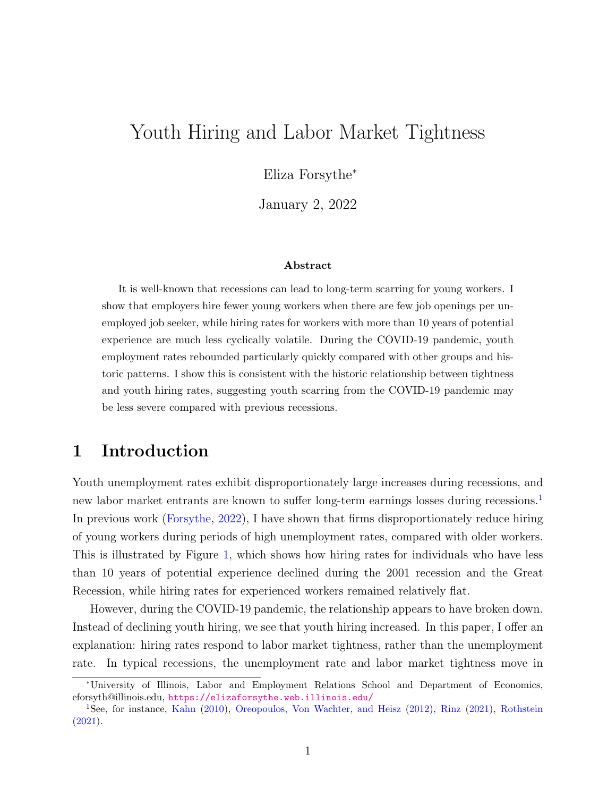# Youth Hiring and Labor Market Tightness

Eliza Forsythe<sup>∗</sup>

January 2, 2022

#### Abstract

It is well-known that recessions can lead to long-term scarring for young workers. I show that employers hire fewer young workers when there are few job openings per unemployed job seeker, while hiring rates for workers with more than 10 years of potential experience are much less cyclically volatile. During the COVID-19 pandemic, youth employment rates rebounded particularly quickly compared with other groups and historic patterns. I show this is consistent with the historic relationship between tightness and youth hiring rates, suggesting youth scarring from the COVID-19 pandemic may be less severe compared with previous recessions.

### 1 Introduction

Youth unemployment rates exhibit disproportionately large increases during recessions, and new labor market entrants are known to suffer long-term earnings losses during recessions.<sup>[1](#page-0-0)</sup> In previous work [\(Forsythe,](#page-5-0) [2022\)](#page-5-0), I have shown that firms disproportionately reduce hiring of young workers during periods of high unemployment rates, compared with older workers. This is illustrated by Figure [1,](#page-1-0) which shows how hiring rates for individuals who have less than 10 years of potential experience declined during the 2001 recession and the Great Recession, while hiring rates for experienced workers remained relatively flat.

However, during the COVID-19 pandemic, the relationship appears to have broken down. Instead of declining youth hiring, we see that youth hiring increased. In this paper, I offer an explanation: hiring rates respond to labor market tightness, rather than the unemployment rate. In typical recessions, the unemployment rate and labor market tightness move in

<sup>∗</sup>University of Illinois, Labor and Employment Relations School and Department of Economics, eforsyth@illinois.edu, <https://elizaforsythe.web.illinois.edu/>

<span id="page-0-0"></span><sup>1</sup>See, for instance, [Kahn](#page-5-1) [\(2010\)](#page-5-1), [Oreopoulos, Von Wachter, and Heisz](#page-5-2) [\(2012\)](#page-5-2), [Rinz](#page-5-3) [\(2021\)](#page-5-3), [Rothstein](#page-5-4) [\(2021\)](#page-5-4).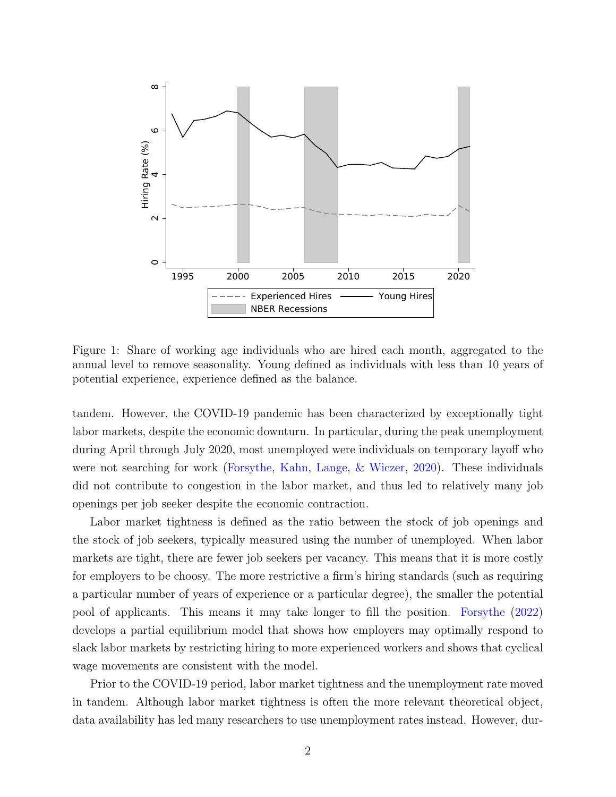

<span id="page-1-0"></span>Figure 1: Share of working age individuals who are hired each month, aggregated to the annual level to remove seasonality. Young defined as individuals with less than 10 years of potential experience, experience defined as the balance.

tandem. However, the COVID-19 pandemic has been characterized by exceptionally tight labor markets, despite the economic downturn. In particular, during the peak unemployment during April through July 2020, most unemployed were individuals on temporary layoff who were not searching for work [\(Forsythe, Kahn, Lange, & Wiczer,](#page-5-5) [2020\)](#page-5-5). These individuals did not contribute to congestion in the labor market, and thus led to relatively many job openings per job seeker despite the economic contraction.

Labor market tightness is defined as the ratio between the stock of job openings and the stock of job seekers, typically measured using the number of unemployed. When labor markets are tight, there are fewer job seekers per vacancy. This means that it is more costly for employers to be choosy. The more restrictive a firm's hiring standards (such as requiring a particular number of years of experience or a particular degree), the smaller the potential pool of applicants. This means it may take longer to fill the position. [Forsythe](#page-5-0) [\(2022\)](#page-5-0) develops a partial equilibrium model that shows how employers may optimally respond to slack labor markets by restricting hiring to more experienced workers and shows that cyclical wage movements are consistent with the model.

Prior to the COVID-19 period, labor market tightness and the unemployment rate moved in tandem. Although labor market tightness is often the more relevant theoretical object, data availability has led many researchers to use unemployment rates instead. However, dur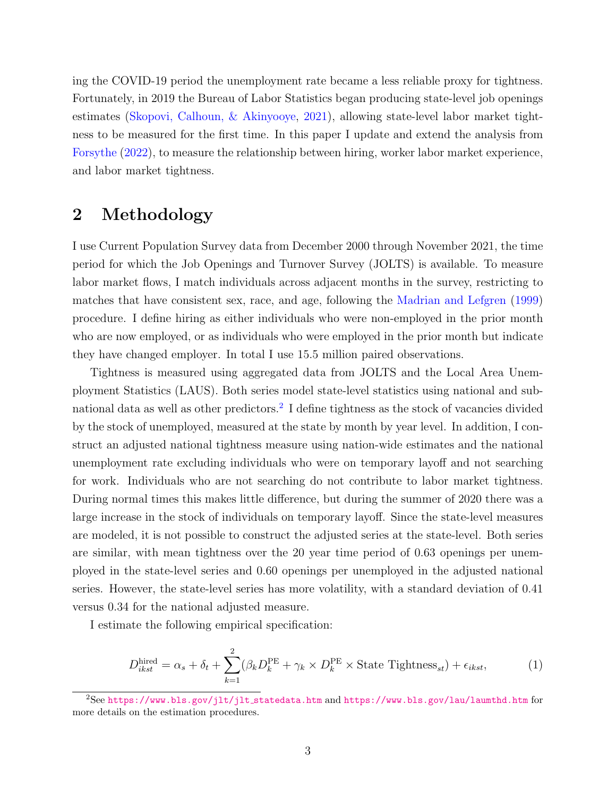ing the COVID-19 period the unemployment rate became a less reliable proxy for tightness. Fortunately, in 2019 the Bureau of Labor Statistics began producing state-level job openings estimates [\(Skopovi, Calhoun, & Akinyooye,](#page-6-0) [2021\)](#page-6-0), allowing state-level labor market tightness to be measured for the first time. In this paper I update and extend the analysis from [Forsythe](#page-5-0) [\(2022\)](#page-5-0), to measure the relationship between hiring, worker labor market experience, and labor market tightness.

## 2 Methodology

I use Current Population Survey data from December 2000 through November 2021, the time period for which the Job Openings and Turnover Survey (JOLTS) is available. To measure labor market flows, I match individuals across adjacent months in the survey, restricting to matches that have consistent sex, race, and age, following the [Madrian and Lefgren](#page-5-6) [\(1999\)](#page-5-6) procedure. I define hiring as either individuals who were non-employed in the prior month who are now employed, or as individuals who were employed in the prior month but indicate they have changed employer. In total I use 15.5 million paired observations.

Tightness is measured using aggregated data from JOLTS and the Local Area Unemployment Statistics (LAUS). Both series model state-level statistics using national and sub-national data as well as other predictors.<sup>[2](#page-2-0)</sup> I define tightness as the stock of vacancies divided by the stock of unemployed, measured at the state by month by year level. In addition, I construct an adjusted national tightness measure using nation-wide estimates and the national unemployment rate excluding individuals who were on temporary layoff and not searching for work. Individuals who are not searching do not contribute to labor market tightness. During normal times this makes little difference, but during the summer of 2020 there was a large increase in the stock of individuals on temporary layoff. Since the state-level measures are modeled, it is not possible to construct the adjusted series at the state-level. Both series are similar, with mean tightness over the 20 year time period of 0.63 openings per unemployed in the state-level series and 0.60 openings per unemployed in the adjusted national series. However, the state-level series has more volatility, with a standard deviation of 0.41 versus 0.34 for the national adjusted measure.

I estimate the following empirical specification:

$$
D_{ikst}^{\text{hired}} = \alpha_s + \delta_t + \sum_{k=1}^{2} (\beta_k D_k^{\text{PE}} + \gamma_k \times D_k^{\text{PE}} \times \text{State Tightness}_{st}) + \epsilon_{ikst},\tag{1}
$$

<span id="page-2-0"></span><sup>2</sup>See [https://www.bls.gov/jlt/jlt](https://www.bls.gov/jlt/jlt_statedata.htm) statedata.htm and <https://www.bls.gov/lau/laumthd.htm> for more details on the estimation procedures.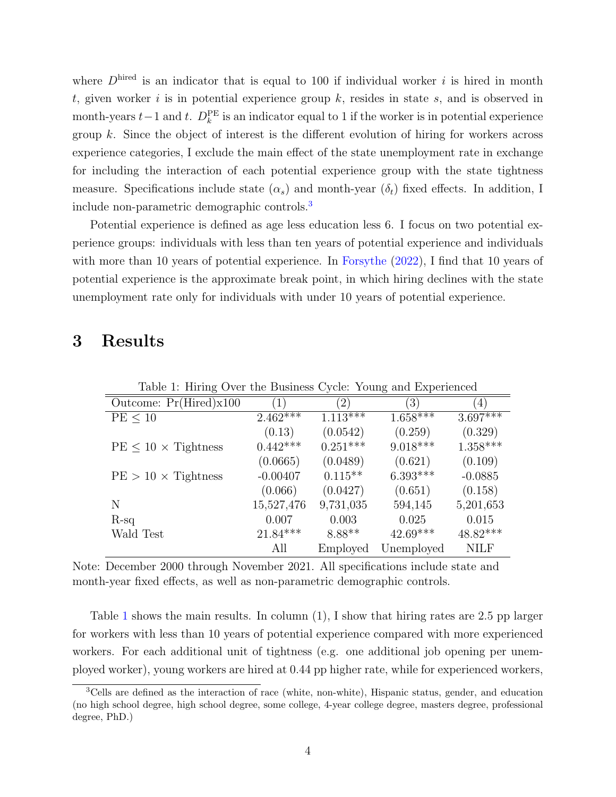where  $D<sup>hired</sup>$  is an indicator that is equal to 100 if individual worker i is hired in month t, given worker i is in potential experience group  $k$ , resides in state  $s$ , and is observed in month-years  $t-1$  and  $t$ .  $D_k^{\text{PE}}$  is an indicator equal to 1 if the worker is in potential experience group  $k$ . Since the object of interest is the different evolution of hiring for workers across experience categories, I exclude the main effect of the state unemployment rate in exchange for including the interaction of each potential experience group with the state tightness measure. Specifications include state  $(\alpha_s)$  and month-year  $(\delta_t)$  fixed effects. In addition, I include non-parametric demographic controls.[3](#page-3-0)

Potential experience is defined as age less education less 6. I focus on two potential experience groups: individuals with less than ten years of potential experience and individuals with more than 10 years of potential experience. In [Forsythe](#page-5-0)  $(2022)$ , I find that 10 years of potential experience is the approximate break point, in which hiring declines with the state unemployment rate only for individuals with under 10 years of potential experience.

#### 3 Results

<span id="page-3-1"></span>

| Table 1: Hiring Over the Business Cycle: Young and Experienced |  |  |
|----------------------------------------------------------------|--|--|
|                                                                |  |  |
|                                                                |  |  |

| Outcome: $Pr(Hired)x100$      | $\left( 1\right)$ | $\left( 2\right)$ | (3)        | $\left(4\right)$ |
|-------------------------------|-------------------|-------------------|------------|------------------|
| $PE \leq 10$                  | $2.462***$        | $1.113***$        | $1.658***$ | $3.697***$       |
|                               | (0.13)            | (0.0542)          | (0.259)    | (0.329)          |
| $PE \leq 10 \times Tightness$ | $0.442***$        | $0.251***$        | $9.018***$ | $1.358***$       |
|                               | (0.0665)          | (0.0489)          | (0.621)    | (0.109)          |
| $PE > 10 \times Tightness$    | $-0.00407$        | $0.115**$         | $6.393***$ | $-0.0885$        |
|                               | (0.066)           | (0.0427)          | (0.651)    | (0.158)          |
| N                             | 15,527,476        | 9,731,035         | 594,145    | 5,201,653        |
| $R-sq$                        | 0.007             | 0.003             | 0.025      | 0.015            |
| Wald Test                     | $21.84***$        | 8.88**            | $42.69***$ | $48.82***$       |
|                               | All               | Employed          | Unemployed | <b>NILF</b>      |

Note: December 2000 through November 2021. All specifications include state and month-year fixed effects, as well as non-parametric demographic controls.

Table [1](#page-3-1) shows the main results. In column (1), I show that hiring rates are 2.5 pp larger for workers with less than 10 years of potential experience compared with more experienced workers. For each additional unit of tightness (e.g. one additional job opening per unemployed worker), young workers are hired at 0.44 pp higher rate, while for experienced workers,

<span id="page-3-0"></span><sup>3</sup>Cells are defined as the interaction of race (white, non-white), Hispanic status, gender, and education (no high school degree, high school degree, some college, 4-year college degree, masters degree, professional degree, PhD.)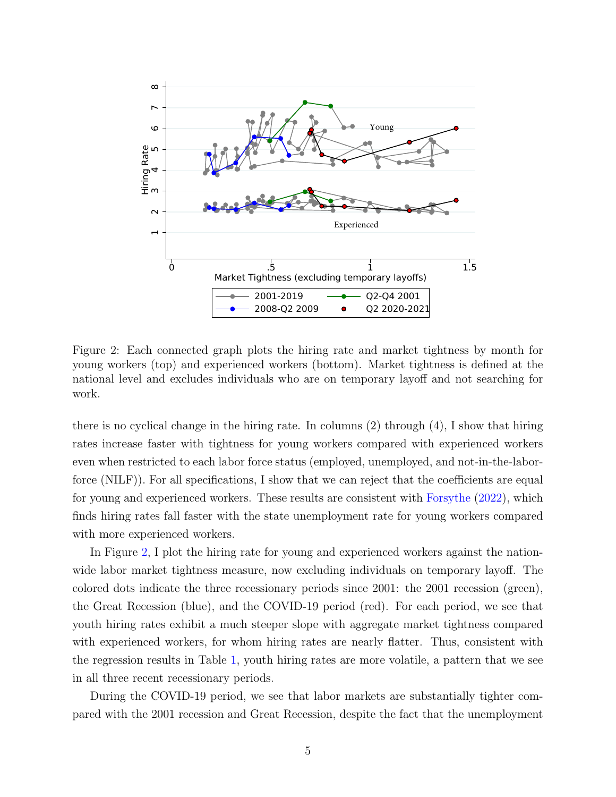

<span id="page-4-0"></span>Figure 2: Each connected graph plots the hiring rate and market tightness by month for young workers (top) and experienced workers (bottom). Market tightness is defined at the national level and excludes individuals who are on temporary layoff and not searching for work.

there is no cyclical change in the hiring rate. In columns (2) through (4), I show that hiring rates increase faster with tightness for young workers compared with experienced workers even when restricted to each labor force status (employed, unemployed, and not-in-the-laborforce (NILF)). For all specifications, I show that we can reject that the coefficients are equal for young and experienced workers. These results are consistent with [Forsythe](#page-5-0) [\(2022\)](#page-5-0), which finds hiring rates fall faster with the state unemployment rate for young workers compared with more experienced workers.

In Figure [2,](#page-4-0) I plot the hiring rate for young and experienced workers against the nationwide labor market tightness measure, now excluding individuals on temporary layoff. The colored dots indicate the three recessionary periods since 2001: the 2001 recession (green), the Great Recession (blue), and the COVID-19 period (red). For each period, we see that youth hiring rates exhibit a much steeper slope with aggregate market tightness compared with experienced workers, for whom hiring rates are nearly flatter. Thus, consistent with the regression results in Table [1,](#page-3-1) youth hiring rates are more volatile, a pattern that we see in all three recent recessionary periods.

During the COVID-19 period, we see that labor markets are substantially tighter compared with the 2001 recession and Great Recession, despite the fact that the unemployment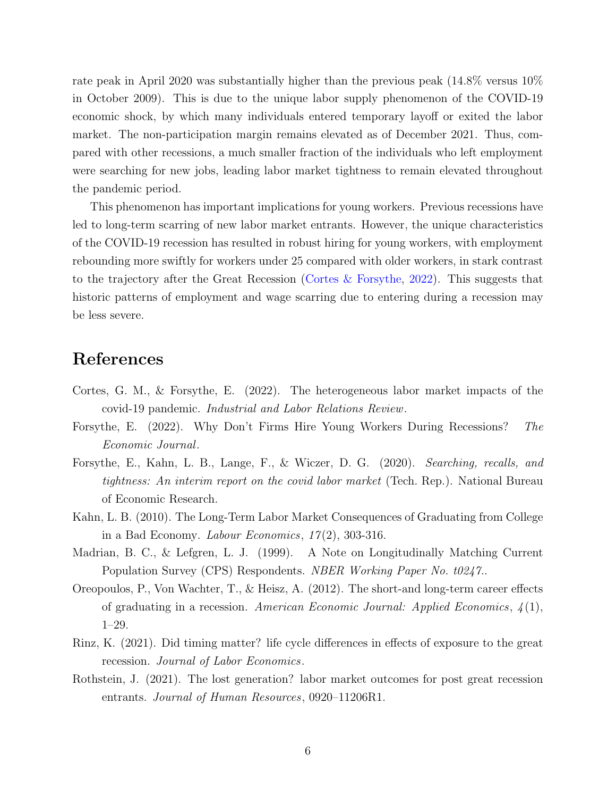rate peak in April 2020 was substantially higher than the previous peak (14.8% versus 10% in October 2009). This is due to the unique labor supply phenomenon of the COVID-19 economic shock, by which many individuals entered temporary layoff or exited the labor market. The non-participation margin remains elevated as of December 2021. Thus, compared with other recessions, a much smaller fraction of the individuals who left employment were searching for new jobs, leading labor market tightness to remain elevated throughout the pandemic period.

This phenomenon has important implications for young workers. Previous recessions have led to long-term scarring of new labor market entrants. However, the unique characteristics of the COVID-19 recession has resulted in robust hiring for young workers, with employment rebounding more swiftly for workers under 25 compared with older workers, in stark contrast to the trajectory after the Great Recession [\(Cortes & Forsythe,](#page-5-7) [2022\)](#page-5-7). This suggests that historic patterns of employment and wage scarring due to entering during a recession may be less severe.

# References

- <span id="page-5-7"></span>Cortes, G. M., & Forsythe, E. (2022). The heterogeneous labor market impacts of the covid-19 pandemic. Industrial and Labor Relations Review.
- <span id="page-5-0"></span>Forsythe, E. (2022). Why Don't Firms Hire Young Workers During Recessions? The Economic Journal.
- <span id="page-5-5"></span>Forsythe, E., Kahn, L. B., Lange, F., & Wiczer, D. G. (2020). Searching, recalls, and tightness: An interim report on the covid labor market (Tech. Rep.). National Bureau of Economic Research.
- <span id="page-5-1"></span>Kahn, L. B. (2010). The Long-Term Labor Market Consequences of Graduating from College in a Bad Economy. *Labour Economics*,  $17(2)$ , 303-316.
- <span id="page-5-6"></span>Madrian, B. C., & Lefgren, L. J. (1999). A Note on Longitudinally Matching Current Population Survey (CPS) Respondents. *NBER Working Paper No. t0247.*.
- <span id="page-5-2"></span>Oreopoulos, P., Von Wachter, T., & Heisz, A. (2012). The short-and long-term career effects of graduating in a recession. American Economic Journal: Applied Economics,  $\mathcal{L}(1)$ , 1–29.
- <span id="page-5-3"></span>Rinz, K. (2021). Did timing matter? life cycle differences in effects of exposure to the great recession. Journal of Labor Economics.
- <span id="page-5-4"></span>Rothstein, J. (2021). The lost generation? labor market outcomes for post great recession entrants. Journal of Human Resources, 0920–11206R1.